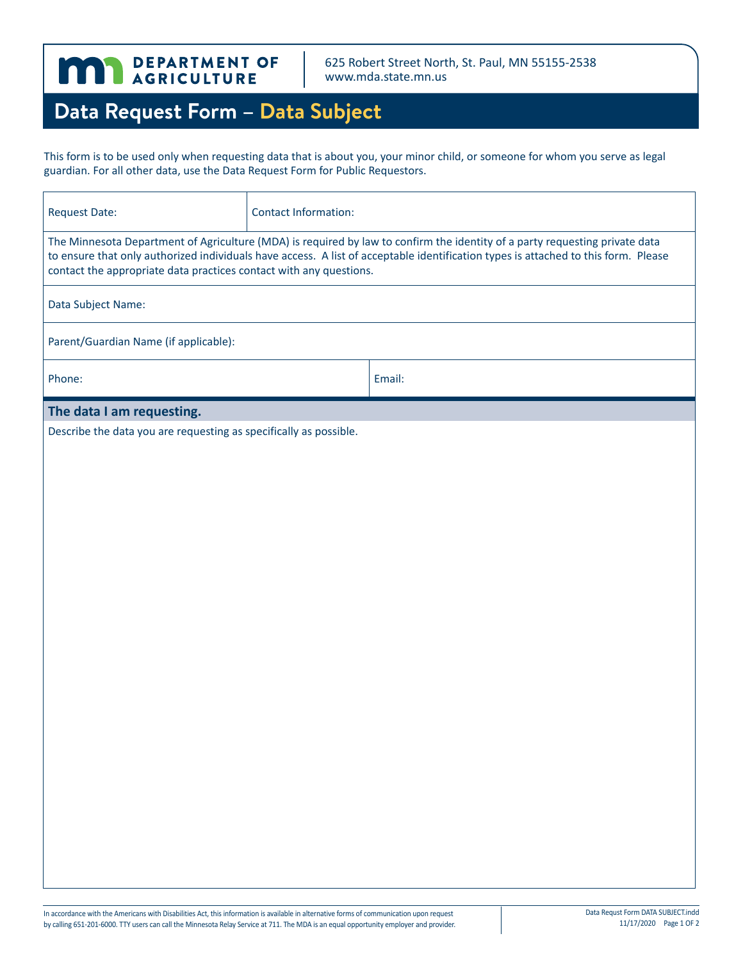

625 Robert Street North, St. Paul, MN 55155-2538 www.mda.state.mn.us

## **Data Request Form – Data Subject**

This form is to be used only when requesting data that is about you, your minor child, or someone for whom you serve as legal guardian. For all other data, use the Data Request Form for Public Requestors.

| <b>Request Date:</b>                                                                                                                                                                                                                                                                                                                    | <b>Contact Information:</b> |        |  |
|-----------------------------------------------------------------------------------------------------------------------------------------------------------------------------------------------------------------------------------------------------------------------------------------------------------------------------------------|-----------------------------|--------|--|
| The Minnesota Department of Agriculture (MDA) is required by law to confirm the identity of a party requesting private data<br>to ensure that only authorized individuals have access. A list of acceptable identification types is attached to this form. Please<br>contact the appropriate data practices contact with any questions. |                             |        |  |
| Data Subject Name:                                                                                                                                                                                                                                                                                                                      |                             |        |  |
| Parent/Guardian Name (if applicable):                                                                                                                                                                                                                                                                                                   |                             |        |  |
| Phone:                                                                                                                                                                                                                                                                                                                                  |                             | Email: |  |
| The data I am requesting.                                                                                                                                                                                                                                                                                                               |                             |        |  |
| Describe the data you are requesting as specifically as possible.                                                                                                                                                                                                                                                                       |                             |        |  |
|                                                                                                                                                                                                                                                                                                                                         |                             |        |  |
|                                                                                                                                                                                                                                                                                                                                         |                             |        |  |
|                                                                                                                                                                                                                                                                                                                                         |                             |        |  |
|                                                                                                                                                                                                                                                                                                                                         |                             |        |  |
|                                                                                                                                                                                                                                                                                                                                         |                             |        |  |
|                                                                                                                                                                                                                                                                                                                                         |                             |        |  |
|                                                                                                                                                                                                                                                                                                                                         |                             |        |  |
|                                                                                                                                                                                                                                                                                                                                         |                             |        |  |
|                                                                                                                                                                                                                                                                                                                                         |                             |        |  |
|                                                                                                                                                                                                                                                                                                                                         |                             |        |  |
|                                                                                                                                                                                                                                                                                                                                         |                             |        |  |
|                                                                                                                                                                                                                                                                                                                                         |                             |        |  |
|                                                                                                                                                                                                                                                                                                                                         |                             |        |  |
|                                                                                                                                                                                                                                                                                                                                         |                             |        |  |
|                                                                                                                                                                                                                                                                                                                                         |                             |        |  |
|                                                                                                                                                                                                                                                                                                                                         |                             |        |  |
|                                                                                                                                                                                                                                                                                                                                         |                             |        |  |
|                                                                                                                                                                                                                                                                                                                                         |                             |        |  |